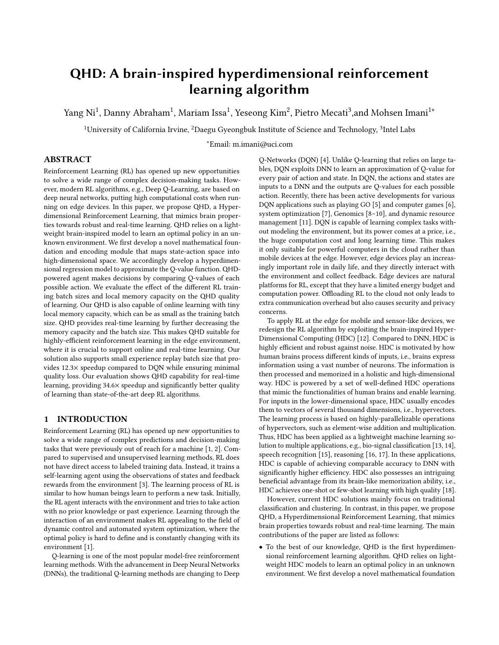# QHD: A brain-inspired hyperdimensional reinforcement learning algorithm

Yang Ni $^1$ , Danny Abraham $^1$ , Mariam Issa $^1$ , Yeseong Kim $^2$ , Pietro Mecati $^3$ ,and Mohsen Imani $^{1*}$ 

 $^1$ University of California Irvine,  $^2$ Daegu Gyeongbuk Institute of Science and Technology,  $^3$ Intel Labs

∗Email: m.imani@uci.com

# ABSTRACT

Reinforcement Learning (RL) has opened up new opportunities to solve a wide range of complex decision-making tasks. However, modern RL algorithms, e.g., Deep Q-Learning, are based on deep neural networks, putting high computational costs when running on edge devices. In this paper, we propose QHD, a Hyperdimensional Reinforcement Learning, that mimics brain properties towards robust and real-time learning. QHD relies on a lightweight brain-inspired model to learn an optimal policy in an unknown environment. We first develop a novel mathematical foundation and encoding module that maps state-action space into high-dimensional space. We accordingly develop a hyperdimensional regression model to approximate the Q-value function. QHDpowered agent makes decisions by comparing Q-values of each possible action. We evaluate the effect of the different RL training batch sizes and local memory capacity on the QHD quality of learning. Our QHD is also capable of online learning with tiny local memory capacity, which can be as small as the training batch size. QHD provides real-time learning by further decreasing the memory capacity and the batch size. This makes QHD suitable for highly-efficient reinforcement learning in the edge environment, where it is crucial to support online and real-time learning. Our solution also supports small experience replay batch size that provides 12.3× speedup compared to DQN while ensuring minimal quality loss. Our evaluation shows QHD capability for real-time learning, providing 34.6× speedup and significantly better quality of learning than state-of-the-art deep RL algorithms.

# 1 INTRODUCTION

Reinforcement Learning (RL) has opened up new opportunities to solve a wide range of complex predictions and decision-making tasks that were previously out of reach for a machine [\[1,](#page-6-0) [2\]](#page-6-1). Compared to supervised and unsupervised learning methods, RL does not have direct access to labeled training data. Instead, it trains a self-learning agent using the observations of states and feedback rewards from the environment [\[3\]](#page-6-2). The learning process of RL is similar to how human beings learn to perform a new task. Initially, the RL agent interacts with the environment and tries to take action with no prior knowledge or past experience. Learning through the interaction of an environment makes RL appealing to the field of dynamic control and automated system optimization, where the optimal policy is hard to define and is constantly changing with its environment [\[1\]](#page-6-0).

Q-learning is one of the most popular model-free reinforcement learning methods. With the advancement in Deep Neural Networks (DNNs), the traditional Q-learning methods are changing to Deep

Q-Networks (DQN) [\[4\]](#page-6-3). Unlike Q-learning that relies on large tables, DQN exploits DNN to learn an approximation of Q-value for every pair of action and state. In DQN, the actions and states are inputs to a DNN and the outputs are Q-values for each possible action. Recently, there has been active developments for various DQN applications such as playing GO [\[5\]](#page-6-4) and computer games [\[6\]](#page-6-5), system optimization [\[7\]](#page-6-6), Genomics  $[8-10]$ , and dynamic resource management [\[11\]](#page-6-9). DQN is capable of learning complex tasks without modeling the environment, but its power comes at a price, i.e., the huge computation cost and long learning time. This makes it only suitable for powerful computers in the cloud rather than mobile devices at the edge. However, edge devices play an increasingly important role in daily life, and they directly interact with the environment and collect feedback. Edge devices are natural platforms for RL, except that they have a limited energy budget and computation power. Offloading RL to the cloud not only leads to extra communication overhead but also causes security and privacy concerns.

To apply RL at the edge for mobile and sensor-like devices, we redesign the RL algorithm by exploiting the brain-inspired Hyper-Dimensional Computing (HDC) [\[12\]](#page-6-10). Compared to DNN, HDC is highly efficient and robust against noise. HDC is motivated by how human brains process different kinds of inputs, i.e., brains express information using a vast number of neurons. The information is then processed and memorized in a holistic and high-dimensional way. HDC is powered by a set of well-defined HDC operations that mimic the functionalities of human brains and enable learning. For inputs in the lower-dimensional space, HDC usually encodes them to vectors of several thousand dimensions, i.e., hypervectors. The learning process is based on highly-parallelizable operations of hypervectors, such as element-wise addition and multiplication. Thus, HDC has been applied as a lightweight machine learning solution to multiple applications, e.g., bio-signal classification [\[13,](#page-6-11) [14\]](#page-6-12), speech recognition [\[15\]](#page-6-13), reasoning [\[16,](#page-6-14) [17\]](#page-6-15). In these applications, HDC is capable of achieving comparable accuracy to DNN with significantly higher efficiency. HDC also possesses an intriguing beneficial advantage from its brain-like memorization ability, i.e., HDC achieves one-shot or few-shot learning with high quality [\[18\]](#page-6-16).

However, current HDC solutions mainly focus on traditional classification and clustering. In contrast, in this paper, we propose QHD, a Hyperdimensional Reinforcement Learning, that mimics brain properties towards robust and real-time learning. The main contributions of the paper are listed as follows:

• To the best of our knowledge, QHD is the first hyperdimensional reinforcement learning algorithm. QHD relies on lightweight HDC models to learn an optimal policy in an unknown environment. We first develop a novel mathematical foundation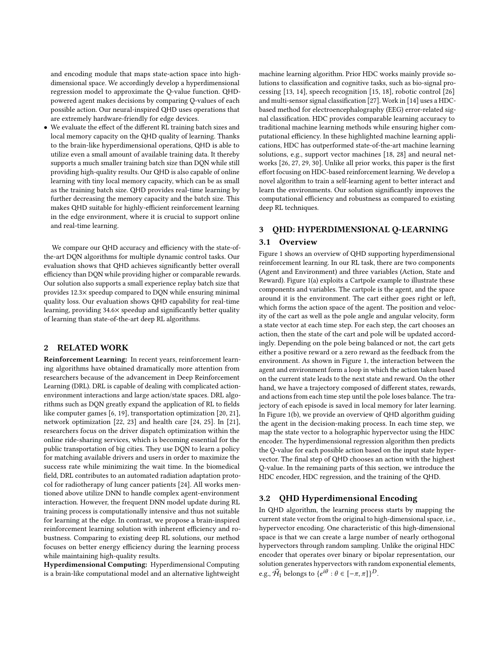and encoding module that maps state-action space into highdimensional space. We accordingly develop a hyperdimensional regression model to approximate the Q-value function. QHDpowered agent makes decisions by comparing Q-values of each possible action. Our neural-inspired QHD uses operations that are extremely hardware-friendly for edge devices.

• We evaluate the effect of the different RL training batch sizes and local memory capacity on the QHD quality of learning. Thanks to the brain-like hyperdimensional operations, QHD is able to utilize even a small amount of available training data. It thereby supports a much smaller training batch size than DQN while still providing high-quality results. Our QHD is also capable of online learning with tiny local memory capacity, which can be as small as the training batch size. QHD provides real-time learning by further decreasing the memory capacity and the batch size. This makes QHD suitable for highly-efficient reinforcement learning in the edge environment, where it is crucial to support online and real-time learning.

We compare our QHD accuracy and efficiency with the state-ofthe-art DQN algorithms for multiple dynamic control tasks. Our evaluation shows that QHD achieves significantly better overall efficiency than DQN while providing higher or comparable rewards. Our solution also supports a small experience replay batch size that provides 12.3× speedup compared to DQN while ensuring minimal quality loss. Our evaluation shows QHD capability for real-time learning, providing 34.6× speedup and significantly better quality of learning than state-of-the-art deep RL algorithms.

#### 2 RELATED WORK

Reinforcement Learning: In recent years, reinforcement learning algorithms have obtained dramatically more attention from researchers because of the advancement in Deep Reinforcement Learning (DRL). DRL is capable of dealing with complicated actionenvironment interactions and large action/state spaces. DRL algorithms such as DQN greatly expand the application of RL to fields like computer games [\[6,](#page-6-5) [19\]](#page-6-17), transportation optimization [\[20,](#page-6-18) [21\]](#page-6-19), network optimization [\[22,](#page-6-20) [23\]](#page-6-21) and health care [\[24,](#page-6-22) [25\]](#page-6-23). In [\[21\]](#page-6-19), researchers focus on the driver dispatch optimization within the online ride-sharing services, which is becoming essential for the public transportation of big cities. They use DQN to learn a policy for matching available drivers and users in order to maximize the success rate while minimizing the wait time. In the biomedical field, DRL contributes to an automated radiation adaptation protocol for radiotherapy of lung cancer patients [\[24\]](#page-6-22). All works mentioned above utilize DNN to handle complex agent-environment interaction. However, the frequent DNN model update during RL training process is computationally intensive and thus not suitable for learning at the edge. In contrast, we propose a brain-inspired reinforcement learning solution with inherent efficiency and robustness. Comparing to existing deep RL solutions, our method focuses on better energy efficiency during the learning process while maintaining high-quality results.

Hyperdimensional Computing: Hyperdimensional Computing is a brain-like computational model and an alternative lightweight machine learning algorithm. Prior HDC works mainly provide solutions to classification and cognitive tasks, such as bio-signal processing [\[13,](#page-6-11) [14\]](#page-6-12), speech recognition [\[15,](#page-6-13) [18\]](#page-6-16), robotic control [\[26\]](#page-6-24) and multi-sensor signal classification [\[27\]](#page-6-25). Work in [\[14\]](#page-6-12) uses a HDCbased method for electroencephalography (EEG) error-related signal classification. HDC provides comparable learning accuracy to traditional machine learning methods while ensuring higher computational efficiency. In these highlighted machine learning applications, HDC has outperformed state-of-the-art machine learning solutions, e.g., support vector machines [\[18,](#page-6-16) [28\]](#page-6-26) and neural networks [\[26,](#page-6-24) [27,](#page-6-25) [29,](#page-6-27) [30\]](#page-6-28). Unlike all prior works, this paper is the first effort focusing on HDC-based reinforcement learning. We develop a novel algorithm to train a self-learning agent to better interact and learn the environments. Our solution significantly improves the computational efficiency and robustness as compared to existing deep RL techniques.

# 3 QHD: HYPERDIMENSIONAL Q-LEARNING

# 3.1 Overview

Figure [1](#page-2-0) shows an overview of QHD supporting hyperdimensional reinforcement learning. In our RL task, there are two components (Agent and Environment) and three variables (Action, State and Reward). Figure [1\(](#page-2-0)a) exploits a Cartpole example to illustrate these components and variables. The cartpole is the agent, and the space around it is the environment. The cart either goes right or left, which forms the action space of the agent. The position and velocity of the cart as well as the pole angle and angular velocity, form a state vector at each time step. For each step, the cart chooses an action, then the state of the cart and pole will be updated accordingly. Depending on the pole being balanced or not, the cart gets either a positive reward or a zero reward as the feedback from the environment. As shown in Figure [1,](#page-2-0) the interaction between the agent and environment form a loop in which the action taken based on the current state leads to the next state and reward. On the other hand, we have a trajectory composed of different states, rewards, and actions from each time step until the pole loses balance. The trajectory of each episode is saved in local memory for later learning. In Figure [1\(](#page-2-0)b), we provide an overview of QHD algorithm guiding the agent in the decision-making process. In each time step, we map the state vector to a holographic hypervector using the HDC encoder. The hyperdimensional regression algorithm then predicts the Q-value for each possible action based on the input state hypervector. The final step of QHD chooses an action with the highest Q-value. In the remaining parts of this section, we introduce the HDC encoder, HDC regression, and the training of the QHD.

#### 3.2 QHD Hyperdimensional Encoding

In QHD algorithm, the learning process starts by mapping the current state vector from the original to high-dimensional space, i.e., hypervector encoding. One characteristic of this high-dimensional space is that we can create a large number of nearly orthogonal hypervectors through random sampling. Unlike the original HDC encoder that operates over binary or bipolar representation, our solution generates hypervectors with random exponential elements, e.g.,  $\vec{\mathcal{H}}_1$  belongs to  $\{e^{i\theta} : \theta \in [-\pi, \pi]\}^D$ .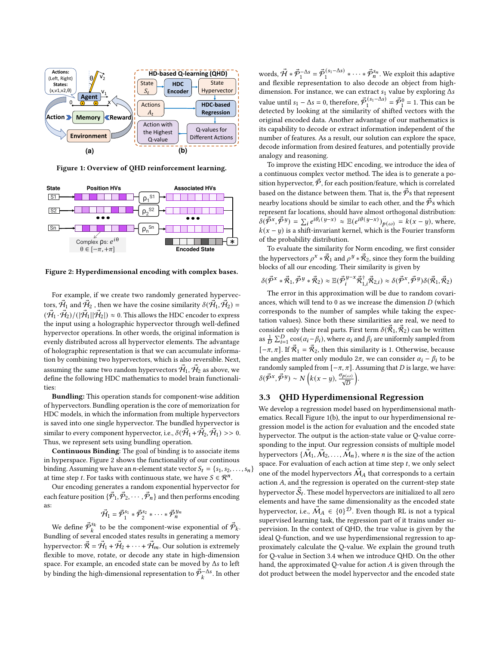<span id="page-2-0"></span>

Figure 1: Overview of QHD reinforcement learning.

<span id="page-2-1"></span>

Figure 2: Hyperdimensional encoding with complex bases.

For example, if we create two randomly generated hypervectors,  $\vec{H}_1$  and  $\vec{H}_2$ , then we have the cosine similarity  $\delta(\vec{H}_1, \vec{H}_2)$  =  $(\mathcal{H}_1 \cdot \mathcal{H}_2)/(|\mathcal{H}_1||\mathcal{H}_2|) \approx 0$ . This allows the HDC encoder to express the input using a holographic hypervector through well-defined hypervector operations. In other words, the original information is evenly distributed across all hypervector elements. The advantage of holographic representation is that we can accumulate information by combining two hypervectors, which is also reversible. Next, assuming the same two random hypervectors  $\mathcal{H}_1$ ,  $\mathcal{H}_2$  as above, we define the following HDC mathematics to model brain functionalities:

Bundling: This operation stands for component-wise addition of hypervectors. Bundling operation is the core of memorization for HDC models, in which the information from multiple hypervectors is saved into one single hypervector. The bundled hypervector is similar to every component hypervector, i.e.,  $\delta(\vec{H}_1 + \vec{H}_2, \vec{H}_1) >> 0$ . Thus, we represent sets using bundling operation.

Continuous Binding: The goal of binding is to associate items in hyperspace. Figure [2](#page-2-1) shows the functionality of our continous binding. Assuming we have an *n*-element state vector  $S_t = \{s_1, s_2, \ldots, s_n\}$ at time step *t*. For tasks with continuous state, we have  $S \in \mathcal{R}^n$ .

Our encoding generates a random exponential hypervector for each feature position  $\{\mathcal{P}_1, \mathcal{P}_2, \cdots, \mathcal{P}_n\}$  and then performs encoding as:

$$
\vec{\mathcal{H}}_1 = \vec{\mathcal{P}}_1^{s_1} \ast \vec{\mathcal{P}}_2^{s_2} \ast \cdots \ast \vec{\mathcal{P}}_n^{y_n}
$$

We define  $\vec{\mathcal{P}}_k^{s_k}$  to be the component-wise exponential of  $\vec{\mathcal{P}}_k$ . Bundling of several encoded states results in generating a memory hypervector:  $\vec{\mathcal{R}} = \vec{\mathcal{H}}_1 + \vec{\mathcal{H}}_2 + \cdots + \vec{\mathcal{H}}_m$ . Our solution is extremely flexible to move, rotate, or decode any state in high-dimension space. For example, an encoded state can be moved by Δs to left by binding the high-dimensional representation to  $\vec{\mathcal{P}}_{k}^{-\Delta s}$ . In other

words,  $\vec{\mathcal{H}} * \vec{\mathcal{P}}_1^{-\Delta s} = \vec{\mathcal{P}}_1^{(s_1 - \Delta s)} * \cdots * \vec{\mathcal{P}}_n^{s_n}$ . We exploit this adaptive and flexible representation to also decode an object from highdimension. For instance, we can extract  $s_1$  value by exploring  $\Delta s$ value until  $s_1 - \Delta s = 0$ , therefore,  $\vec{\mathcal{P}}_1^{(s_1 - \Delta s)} = \vec{\mathcal{P}}_1^0 = 1$ . This can be detected by looking at the similarity of shifted vectors with the original encoded data. Another advantage of our mathematics is its capability to decode or extract information independent of the number of features. As a result, our solution can explore the space, decode information from desired features, and potentially provide analogy and reasoning.

To improve the existing HDC encoding, we introduce the idea of a continuous complex vector method. The idea is to generate a position hypervector,  $\vec{P}$ , for each position/feature, which is correlated based on the distance between them. That is, the  $\vec{P}$ s that represent nearby locations should be similar to each other, and the  $\vec{P}$ s which represent far locations, should have almost orthogonal distribution:  $\delta(\vec{P}^x, \vec{P}^y) = \sum_i e^{i\theta_i(y-x)} \approx \mathbb{E}(e^{i\theta(y-x)})_{p(\omega)} = k(x-y)$ , where,  $k(x - y)$  is a shift-invariant kernel, which is the Fourier transform of the probability distribution.

To evaluate the similarity for Norm encoding, we first consider the hypervectors  $\rho^x * \vec{\mathcal{R}}_1$  and  $\rho^y * \vec{\mathcal{R}}_2$ , since they form the building blocks of all our encoding. Their similarity is given by

$$
\delta(\vec{\mathcal{P}}^x*\vec{\mathcal{R}}_1,\vec{\mathcal{P}}^y*\vec{\mathcal{R}}_2)\approx \mathbb{E}(\vec{\mathcal{P}}_i^{y-x}\vec{\mathcal{R}}_{1,i}^\dagger\vec{\mathcal{R}}_{2,i})\approx \delta(\vec{\mathcal{P}}^x,\vec{\mathcal{P}}^y)\delta(\vec{\mathcal{R}}_1,\vec{\mathcal{R}}_2)
$$

The error in this approximation will be due to random covariances, which will tend to 0 as we increase the dimension  $D$  (which corresponds to the number of samples while taking the expectation values). Since both these similarities are real, we need to consider only their real parts. First term  $\delta(\mathcal{R}_1, \mathcal{R}_2)$  can be written as  $\frac{1}{D} \sum_{i=1}^{D} \cos(\alpha_i - \beta_i)$ , where  $\alpha_i$  and  $\beta_i$  are uniformly sampled from  $[-\pi, \pi]$ . If  $\vec{\mathcal{R}}_1 = \vec{\mathcal{R}}_2$ , then this similarity is 1. Otherwise, because the angles matter only modulo  $2\pi$ , we can consider  $\alpha_i - \beta_i$  to be randomly sampled from  $[-\pi, \pi]$ . Assuming that *D* is large, we have:  $\delta(\vec{P}^x, \vec{P}^y) \sim N\left(k(x-y), \frac{\sigma_{p(\omega)}}{\sqrt{D}}\right)$ .

#### <span id="page-2-2"></span>3.3 QHD Hyperdimensional Regression

We develop a regression model based on hyperdimensional mathematics. Recall Figure [1\(](#page-2-0)b), the input to our hyperdimensional regression model is the action for evaluation and the encoded state hypervector. The output is the action-state value or Q-value corresponding to the input. Our regression consists of multiple model hypervectors  $\{M_1, M_2, \ldots, M_n\}$ , where *n* is the size of the action space. For evaluation of each action at time step  $t$ , we only select one of the model hypervectors  $M_A$  that corresponds to a certain action  $A$ , and the regression is operated on the current-step state hypervector  $S_t$ . These model hypervectors are initialized to all zero elements and have the same dimensionality as the encoded state hypervector, i.e.,  $M_A \in \{0\}^{\mathcal{D}}$ . Even though RL is not a typical supervised learning task, the regression part of it trains under supervision. In the context of QHD, the true value is given by the ideal Q-function, and we use hyperdimensional regression to approximately calculate the Q-value. We explain the ground truth for Q-value in Section [3.4](#page-3-0) when we introduce QHD. On the other hand, the approximated Q-value for action  $A$  is given through the dot product between the model hypervector and the encoded state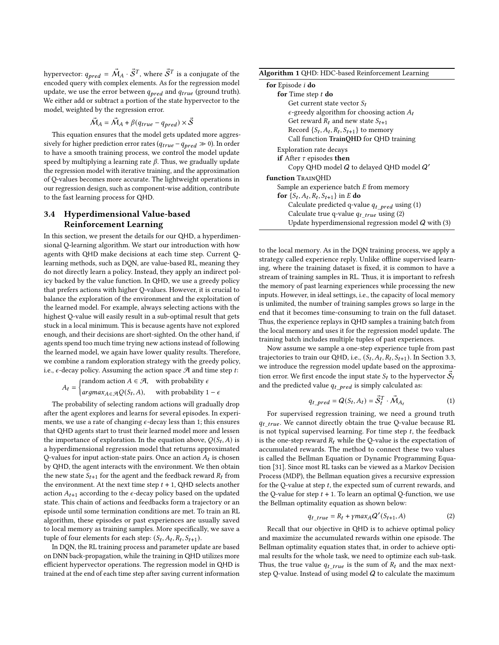hypervector:  $q_{pred} = \vec{M}_A \cdot \vec{\mathcal{S}}^T$ , where  $\vec{\mathcal{S}}^T$  is a conjugate of the encoded query with complex elements. As for the regression model update, we use the error between  $q_{pred}$  and  $q_{true}$  (ground truth). We either add or subtract a portion of the state hypervector to the model, weighted by the regression error.

$$
\vec{M}_A = \vec{M}_A + \beta(q_{true} - q_{pred}) \times \vec{S}
$$

This equation ensures that the model gets updated more aggressively for higher prediction error rates ( $q_{true} - q_{pred} \gg 0$ ). In order to have a smooth training process, we control the model update speed by multiplying a learning rate  $\beta$ . Thus, we gradually update the regression model with iterative training, and the approximation of Q-values becomes more accurate. The lightweight operations in our regression design, such as component-wise addition, contribute to the fast learning process for QHD.

# <span id="page-3-0"></span>3.4 Hyperdimensional Value-based Reinforcement Learning

In this section, we present the details for our QHD, a hyperdimensional Q-learning algorithm. We start our introduction with how agents with QHD make decisions at each time step. Current Qlearning methods, such as DQN, are value-based RL, meaning they do not directly learn a policy. Instead, they apply an indirect policy backed by the value function. In QHD, we use a greedy policy that prefers actions with higher Q-values. However, it is crucial to balance the exploration of the environment and the exploitation of the learned model. For example, always selecting actions with the highest Q-value will easily result in a sub-optimal result that gets stuck in a local minimum. This is because agents have not explored enough, and their decisions are short-sighted. On the other hand, if agents spend too much time trying new actions instead of following the learned model, we again have lower quality results. Therefore, we combine a random exploration strategy with the greedy policy, i.e.,  $\epsilon$ -decay policy. Assuming the action space  $\mathcal A$  and time step t:

$$
A_t = \begin{cases} \text{random action } A \in \mathcal{A}, & \text{with probability } \epsilon \\ \text{argmax}_{A \in \mathcal{A}} Q(S_t, A), & \text{with probability } 1 - \epsilon \end{cases}
$$

The probability of selecting random actions will gradually drop after the agent explores and learns for several episodes. In experiments, we use a rate of changing  $\epsilon$ -decay less than 1; this ensures that QHD agents start to trust their learned model more and lessen the importance of exploration. In the equation above,  $Q(S_t, A)$  is a hyperdimensional regression model that returns approximated Q-values for input action-state pairs. Once an action  $A_t$  is chosen by QHD, the agent interacts with the environment. We then obtain the new state  $S_{t+1}$  for the agent and the feedback reward  $R_t$  from the environment. At the next time step  $t + 1$ , QHD selects another action  $A_{t+1}$  according to the  $\epsilon$ -decay policy based on the updated state. This chain of actions and feedbacks form a trajectory or an episode until some termination conditions are met. To train an RL algorithm, these episodes or past experiences are usually saved to local memory as training samples. More specifically, we save a tuple of four elements for each step:  $(S_t, A_t, R_t, S_{t+1})$ .

In DQN, the RL training process and parameter update are based on DNN back-propagation, while the training in QHD utilizes more efficient hypervector operations. The regression model in QHD is trained at the end of each time step after saving current information

<span id="page-3-3"></span>

|  | Algorithm 1 QHD: HDC-based Reinforcement Learning |  |
|--|---------------------------------------------------|--|
|--|---------------------------------------------------|--|

| for Episode i do                                        |  |  |
|---------------------------------------------------------|--|--|
| for Time step $t$ do                                    |  |  |
| Get current state vector $S_t$                          |  |  |
| $\epsilon$ -greedy algorithm for choosing action $A_t$  |  |  |
| Get reward $R_t$ and new state $S_{t+1}$                |  |  |
| Record $\{S_t, A_t, R_t, S_{t+1}\}\$ to memory          |  |  |
| Call function TrainQHD for QHD training                 |  |  |
| Exploration rate decays                                 |  |  |
| <b>if</b> After $\tau$ episodes <b>then</b>             |  |  |
| Copy QHD model $Q$ to delayed QHD model $Q'$            |  |  |
| <b>function</b> TRAINQHD                                |  |  |
| Sample an experience batch $E$ from memory              |  |  |
| <b>for</b> $\{S_t, A_t, R_t, S_{t+1}\}\$ in E <b>do</b> |  |  |
| Calculate predicted q-value $q_{t\_pred}$ using (1)     |  |  |
| Calculate true q-value $q_t$ true using (2)             |  |  |
| Update hyperdimensional regression model $Q$ with (3)   |  |  |
|                                                         |  |  |

to the local memory. As in the DQN training process, we apply a strategy called experience reply. Unlike offline supervised learning, where the training dataset is fixed, it is common to have a stream of training samples in RL. Thus, it is important to refresh the memory of past learning experiences while processing the new inputs. However, in ideal settings, i.e., the capacity of local memory is unlimited, the number of training samples grows so large in the end that it becomes time-consuming to train on the full dataset. Thus, the experience replays in QHD samples a training batch from the local memory and uses it for the regression model update. The training batch includes multiple tuples of past experiences.

Now assume we sample a one-step experience tuple from past trajectories to train our QHD, i.e.,  $(S_t, A_t, R_t, S_{t+1})$ . In Section [3.3,](#page-2-2) we introduce the regression model update based on the approximation error. We first encode the input state  $S_t$  to the hypervector  $\mathcal{S}_t$ and the predicted value  $q_t$  pred is simply calculated as:

<span id="page-3-1"></span>
$$
q_{t\_pred} = Q(S_t, A_t) = \vec{S}_t^T \cdot \vec{M}_{A_t}
$$
 (1)

For supervised regression training, we need a ground truth  $q_t$  true. We cannot directly obtain the true Q-value because RL is not typical supervised learning. For time step  $t$ , the feedback is the one-step reward  $R_t$  while the Q-value is the expectation of accumulated rewards. The method to connect these two values is called the Bellman Equation or Dynamic Programming Equation [\[31\]](#page-6-29). Since most RL tasks can be viewed as a Markov Decision Process (MDP), the Bellman equation gives a recursive expression for the Q-value at step  $t$ , the expected sum of current rewards, and the Q-value for step  $t + 1$ . To learn an optimal Q-function, we use the Bellman optimality equation as shown below:

<span id="page-3-2"></span>
$$
q_{t\_true} = R_t + \gamma max_A Q'(S_{t+1}, A)
$$
 (2)

Recall that our objective in QHD is to achieve optimal policy and maximize the accumulated rewards within one episode. The Bellman optimality equation states that, in order to achieve optimal results for the whole task, we need to optimize each sub-task. Thus, the true value  $q_t$  true is the sum of  $R_t$  and the max nextstep Q-value. Instead of using model  $Q$  to calculate the maximum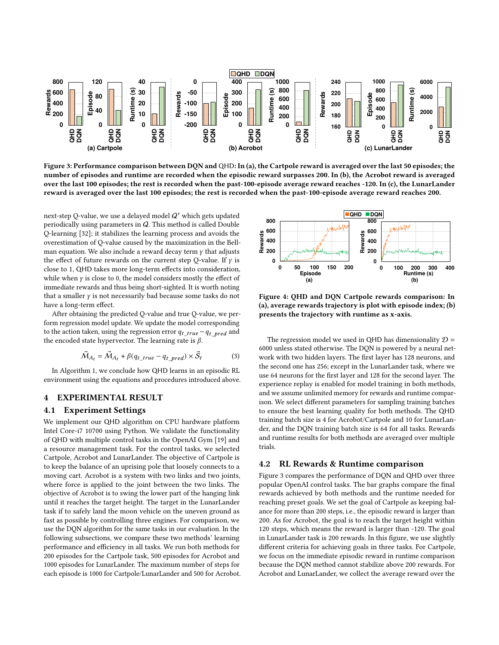<span id="page-4-1"></span>

Figure 3: Performance comparison between DQN and QHD: In (a), the Cartpole reward is averaged over the last 50 episodes; the number of episodes and runtime are recorded when the episodic reward surpasses 200. In (b), the Acrobot reward is averaged over the last 100 episodes; the rest is recorded when the past-100-episode average reward reaches -120. In (c), the LunarLander reward is averaged over the last 100 episodes; the rest is recorded when the past-100-episode average reward reaches 200.

next-step Q-value, we use a delayed model  $Q'$  which gets updated periodically using parameters in Q. This method is called Double Q-learning [\[32\]](#page-6-30); it stabilizes the learning process and avoids the overestimation of Q-value caused by the maximization in the Bellman equation. We also include a reward decay term  $\gamma$  that adjusts the effect of future rewards on the current step Q-value. If  $\gamma$  is close to 1, QHD takes more long-term effects into consideration, while when  $\gamma$  is close to 0, the model considers mostly the effect of immediate rewards and thus being short-sighted. It is worth noting that a smaller  $\gamma$  is not necessarily bad because some tasks do not have a long-term effect.

After obtaining the predicted Q-value and true Q-value, we perform regression model update. We update the model corresponding to the action taken, using the regression error  $q_{t\_true} - q_{t\_pred}$  and the encoded state hypervector. The learning rate is  $\beta$ .

<span id="page-4-0"></span>
$$
\vec{M}_{A_t} = \vec{M}_{A_t} + \beta (q_{t\_true} - q_{t\_pred}) \times \vec{S}_t
$$
 (3)

In Algorithm [1,](#page-3-3) we conclude how QHD learns in an episodic RL environment using the equations and procedures introduced above.

# 4 EXPERIMENTAL RESULT

#### 4.1 Experiment Settings

We implement our QHD algorithm on CPU hardware platform Intel Core-i7 10700 using Python. We validate the functionality of QHD with multiple control tasks in the OpenAI Gym [\[19\]](#page-6-17) and a resource management task. For the control tasks, we selected Cartpole, Acrobot and LunarLander. The objective of Cartpole is to keep the balance of an uprising pole that loosely connects to a moving cart. Acrobot is a system with two links and two joints, where force is applied to the joint between the two links. The objective of Acrobot is to swing the lower part of the hanging link until it reaches the target height. The target in the LunarLander task if to safely land the moon vehicle on the uneven ground as fast as possible by controlling three engines. For comparison, we use the DQN algorithm for the same tasks in our evaluation. In the following subsections, we compare these two methods' learning performance and efficiency in all tasks. We run both methods for 200 episodes for the Cartpole task, 500 episodes for Acrobot and 1000 episodes for LunarLander. The maximum number of steps for each episode is 1000 for Cartpole/LunarLander and 500 for Acrobot.

<span id="page-4-2"></span>

Figure 4: QHD and DQN Cartpole rewards comparison: In (a), average rewards trajectory is plot with episode index; (b) presents the trajectory with runtime as x-axis.

The regression model we used in QHD has dimensionality  $D =$ 6000 unless stated otherwise. The DQN is powered by a neural network with two hidden layers. The first layer has 128 neurons, and the second one has 256; except in the LunarLander task, where we use 64 neurons for the first layer and 128 for the second layer. The experience replay is enabled for model training in both methods, and we assume unlimited memory for rewards and runtime comparison. We select different parameters for sampling training batches to ensure the best learning quality for both methods. The QHD training batch size is 4 for Acrobot/Cartpole and 10 for LunarLander, and the DQN training batch size is 64 for all tasks. Rewards and runtime results for both methods are averaged over multiple trials.

#### 4.2 RL Rewards & Runtime comparison

Figure [3](#page-4-1) compares the performance of DQN and QHD over three popular OpenAI control tasks. The bar graphs compare the final rewards achieved by both methods and the runtime needed for reaching preset goals. We set the goal of Cartpole as keeping balance for more than 200 steps, i.e., the episodic reward is larger than 200. As for Acrobot, the goal is to reach the target height within 120 steps, which means the reward is larger than -120. The goal in LunarLander task is 200 rewards. In this figure, we use slightly different criteria for achieving goals in three tasks. For Cartpole, we focus on the immediate episodic reward in runtime comparison because the DQN method cannot stabilize above 200 rewards. For Acrobot and LunarLander, we collect the average reward over the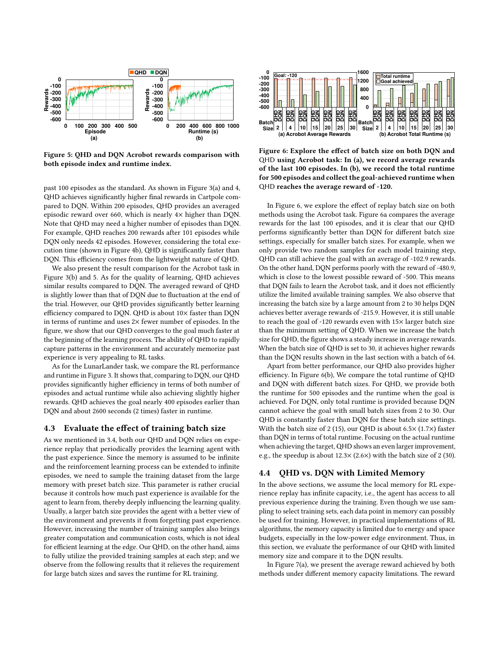<span id="page-5-0"></span>

Figure 5: QHD and DQN Acrobot rewards comparison with both episode index and runtime index.

past 100 episodes as the standard. As shown in Figure [3\(](#page-4-1)a) and [4,](#page-4-2) QHD achieves significantly higher final rewards in Cartpole compared to DQN. Within 200 episodes, QHD provides an averaged episodic reward over 660, which is nearly 4× higher than DQN. Note that QHD may need a higher number of episodes than DQN. For example, QHD reaches 200 rewards after 101 episodes while DQN only needs 42 episodes. However, considering the total execution time (shown in Figure [4b](#page-4-2)), QHD is significantly faster than DQN. This efficiency comes from the lightweight nature of QHD.

We also present the result comparison for the Acrobot task in Figure [3\(](#page-4-1)b) and [5.](#page-5-0) As for the quality of learning, QHD achieves similar results compared to DQN. The averaged reward of QHD is slightly lower than that of DQN due to fluctuation at the end of the trial. However, our QHD provides significantly better learning efficiency compared to DQN. QHD is about 10× faster than DQN in terms of runtime and uses  $2\times$  fewer number of episodes. In the figure, we show that our QHD converges to the goal much faster at the beginning of the learning process. The ability of QHD to rapidly capture patterns in the environment and accurately memorize past experience is very appealing to RL tasks.

As for the LunarLander task, we compare the RL performance and runtime in Figure [3.](#page-4-1) It shows that, comparing to DQN, our QHD provides significantly higher efficiency in terms of both number of episodes and actual runtime while also achieving slightly higher rewards. QHD achieves the goal nearly 400 episodes earlier than DQN and about 2600 seconds (2 times) faster in runtime.

# 4.3 Evaluate the effect of training batch size

As we mentioned in [3.4,](#page-3-0) both our QHD and DQN relies on experience replay that periodically provides the learning agent with the past experience. Since the memory is assumed to be infinite and the reinforcement learning process can be extended to infinite episodes, we need to sample the training dataset from the large memory with preset batch size. This parameter is rather crucial because it controls how much past experience is available for the agent to learn from, thereby deeply influencing the learning quality. Usually, a larger batch size provides the agent with a better view of the environment and prevents it from forgetting past experience. However, increasing the number of training samples also brings greater computation and communication costs, which is not ideal for efficient learning at the edge. Our QHD, on the other hand, aims to fully utilize the provided training samples at each step; and we observe from the following results that it relieves the requirement for large batch sizes and saves the runtime for RL training.

<span id="page-5-1"></span>

Figure 6: Explore the effect of batch size on both DQN and QHD using Acrobot task: In (a), we record average rewards of the last 100 episodes. In (b), we record the total runtime for 500 episodes and collect the goal-achieved runtime when QHD reaches the average reward of -120.

In Figure [6,](#page-5-1) we explore the effect of replay batch size on both methods using the Acrobot task. Figure [6a](#page-5-1) compares the average rewards for the last 100 episodes, and it is clear that our QHD performs significantly better than DQN for different batch size settings, especially for smaller batch sizes. For example, when we only provide two random samples for each model training step, QHD can still achieve the goal with an average of -102.9 rewards. On the other hand, DQN performs poorly with the reward of -480.9, which is close to the lowest possible reward of -500. This means that DQN fails to learn the Acrobot task, and it does not efficiently utilize the limited available training samples. We also observe that increasing the batch size by a large amount from 2 to 30 helps DQN achieves better average rewards of -215.9. However, it is still unable to reach the goal of -120 rewards even with 15× larger batch size than the minimum setting of QHD. When we increase the batch size for QHD, the figure shows a steady increase in average rewards. When the batch size of QHD is set to 30, it achieves higher rewards than the DQN results shown in the last section with a batch of 64.

Apart from better performance, our QHD also provides higher efficiency. In Figure [6\(](#page-5-1)b), We compare the total runtime of QHD and DQN with different batch sizes. For QHD, we provide both the runtime for 500 episodes and the runtime when the goal is achieved. For DQN, only total runtime is provided because DQN cannot achieve the goal with small batch sizes from 2 to 30. Our QHD is constantly faster than DQN for these batch size settings. With the batch size of 2 (15), our QHD is about 6.5 $\times$  (1.7 $\times$ ) faster than DQN in terms of total runtime. Focusing on the actual runtime when achieving the target, QHD shows an even larger improvement, e.g., the speedup is about  $12.3 \times (2.6 \times)$  with the batch size of 2 (30).

#### 4.4 QHD vs. DQN with Limited Memory

In the above sections, we assume the local memory for RL experience replay has infinite capacity, i.e., the agent has access to all previous experience during the training. Even though we use sampling to select training sets, each data point in memory can possibly be used for training. However, in practical implementations of RL algorithms, the memory capacity is limited due to energy and space budgets, especially in the low-power edge environment. Thus, in this section, we evaluate the performance of our QHD with limited memory size and compare it to the DQN results.

In Figure [7\(](#page-6-31)a), we present the average reward achieved by both methods under different memory capacity limitations. The reward